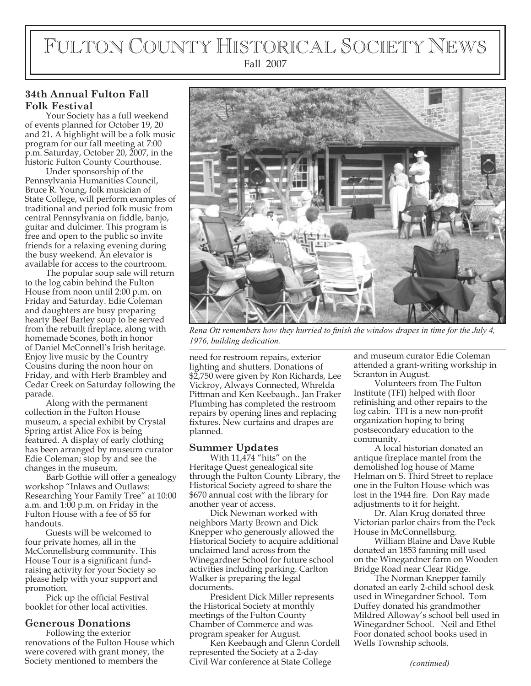# FULTON COUNTY HISTORICAL SOCIETY NEWS Fall 2007

## **34th Annual Fulton Fall Folk Festival**

Your Society has a full weekend of events planned for October 19, 20 and 21. A highlight will be a folk music program for our fall meeting at 7:00 p.m. Saturday, October 20, 2007, in the historic Fulton County Courthouse.

Under sponsorship of the Pennsylvania Humanities Council, Bruce R. Young, folk musician of State College, will perform examples of traditional and period folk music from central Pennsylvania on fiddle, banjo, guitar and dulcimer. This program is free and open to the public so invite friends for a relaxing evening during the busy weekend. An elevator is available for access to the courtroom.

The popular soup sale will return to the log cabin behind the Fulton House from noon until 2:00 p.m. on Friday and Saturday. Edie Coleman and daughters are busy preparing hearty Beef Barley soup to be served from the rebuilt fireplace, along with homemade Scones, both in honor of Daniel McConnell's Irish heritage. Enjoy live music by the Country Cousins during the noon hour on Friday, and with Herb Brambley and Cedar Creek on Saturday following the parade.

Along with the permanent collection in the Fulton House museum, a special exhibit by Crystal Spring artist Alice Fox is being featured. A display of early clothing has been arranged by museum curator Edie Coleman; stop by and see the changes in the museum.

Barb Gothie will offer a genealogy workshop "Inlaws and Outlaws: Researching Your Family Tree" at 10:00 a.m. and 1:00 p.m. on Friday in the Fulton House with a fee of \$5 for handouts.

Guests will be welcomed to four private homes, all in the McConnellsburg community. This House Tour is a significant fundraising activity for your Society so please help with your support and promotion.

Pick up the official Festival booklet for other local activities.

### **Generous Donations**

Following the exterior renovations of the Fulton House which were covered with grant money, the<br>Society mentioned to members the



*Rena Ott remembers how they hurried to finish the window drapes in time for the July 4, 1976, building dedication.*

need for restroom repairs, exterior lighting and shutters. Donations of \$2,750 were given by Ron Richards, Lee Vickroy, Always Connected, Whrelda Pittman and Ken Keebaugh.. Jan Fraker Plumbing has completed the restroom repairs by opening lines and replacing fixtures. New curtains and drapes are planned.

### **Summer Updates**

With  $11,\overline{4}74$  "hits" on the Heritage Quest genealogical site through the Fulton County Library, the Historical Society agreed to share the \$670 annual cost with the library for another year of access.

Dick Newman worked with neighbors Marty Brown and Dick Knepper who generously allowed the Historical Society to acquire additional unclaimed land across from the Winegardner School for future school activities including parking. Carlton Walker is preparing the legal documents.

President Dick Miller represents the Historical Society at monthly meetings of the Fulton County Chamber of Commerce and was program speaker for August.

Society mentioned to members the *(continued)* Civil War conference at State College Ken Keebaugh and Glenn Cordell represented the Society at a 2-day

and museum curator Edie Coleman attended a grant-writing workship in Scranton in August.

Volunteers from The Fulton Institute (TFI) helped with floor refinishing and other repairs to the log cabin. TFI is a new non-profit organization hoping to bring postsecondary education to the community.

A local historian donated an antique fireplace mantel from the demolished log house of Mame Helman on S. Third Street to replace one in the Fulton House which was lost in the 1944 fire. Don Ray made adjustments to it for height.

Dr. Alan Krug donated three Victorian parlor chairs from the Peck House in McConnellsburg.

William Blaine and Dave Ruble donated an 1853 fanning mill used on the Winegardner farm on Wooden Bridge Road near Clear Ridge.

The Norman Knepper family donated an early 2-child school desk used in Winegardner School. Tom Duffey donated his grandmother Mildred Alloway's school bell used in Winegardner School. Neil and Ethel Foor donated school books used in Wells Township schools.